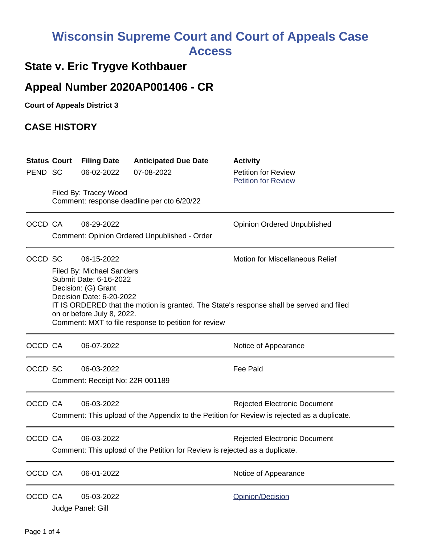# **Wisconsin Supreme Court and Court of Appeals Case Access**

### **State v. Eric Trygve Kothbauer**

## **Appeal Number 2020AP001406 - CR**

**Court of Appeals District 3**

#### **CASE HISTORY**

| PEND SC | <b>Status Court</b> | <b>Filing Date</b><br>06-02-2022<br>Filed By: Tracey Wood                                                                                                                                                                                                                                                                                               | <b>Anticipated Due Date</b><br>07-08-2022<br>Comment: response deadline per cto 6/20/22 | <b>Activity</b><br><b>Petition for Review</b><br><b>Petition for Review</b>                                                        |
|---------|---------------------|---------------------------------------------------------------------------------------------------------------------------------------------------------------------------------------------------------------------------------------------------------------------------------------------------------------------------------------------------------|-----------------------------------------------------------------------------------------|------------------------------------------------------------------------------------------------------------------------------------|
| OCCD CA |                     | 06-29-2022                                                                                                                                                                                                                                                                                                                                              | Comment: Opinion Ordered Unpublished - Order                                            | <b>Opinion Ordered Unpublished</b>                                                                                                 |
| OCCD SC |                     | <b>Motion for Miscellaneous Relief</b><br>06-15-2022<br><b>Filed By: Michael Sanders</b><br>Submit Date: 6-16-2022<br>Decision: (G) Grant<br>Decision Date: 6-20-2022<br>IT IS ORDERED that the motion is granted. The State's response shall be served and filed<br>on or before July 8, 2022.<br>Comment: MXT to file response to petition for review |                                                                                         |                                                                                                                                    |
| OCCD CA |                     | 06-07-2022                                                                                                                                                                                                                                                                                                                                              |                                                                                         | Notice of Appearance                                                                                                               |
| OCCD SC |                     | 06-03-2022<br>Comment: Receipt No: 22R 001189                                                                                                                                                                                                                                                                                                           |                                                                                         | <b>Fee Paid</b>                                                                                                                    |
| OCCD CA |                     | 06-03-2022                                                                                                                                                                                                                                                                                                                                              |                                                                                         | <b>Rejected Electronic Document</b><br>Comment: This upload of the Appendix to the Petition for Review is rejected as a duplicate. |
| OCCD CA |                     | 06-03-2022<br><b>Rejected Electronic Document</b><br>Comment: This upload of the Petition for Review is rejected as a duplicate.                                                                                                                                                                                                                        |                                                                                         |                                                                                                                                    |
| OCCD CA |                     | 06-01-2022                                                                                                                                                                                                                                                                                                                                              |                                                                                         | Notice of Appearance                                                                                                               |
| OCCD CA |                     | 05-03-2022<br>Judge Panel: Gill                                                                                                                                                                                                                                                                                                                         |                                                                                         | Opinion/Decision                                                                                                                   |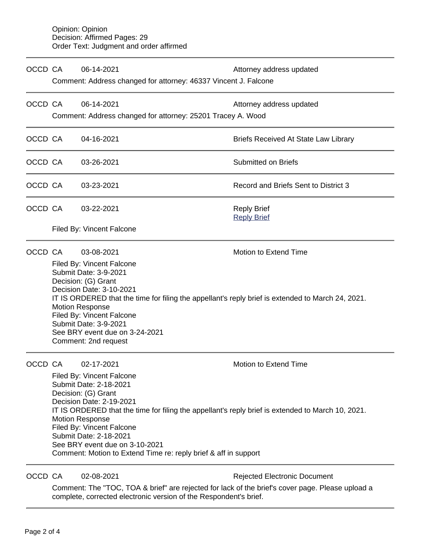| OCCD CA |                                                                                                                                                                                                                                                                                                                                                                                                                                                 | 06-14-2021<br>Comment: Address changed for attorney: 46337 Vincent J. Falcone                                  | Attorney address updated                    |  |  |  |
|---------|-------------------------------------------------------------------------------------------------------------------------------------------------------------------------------------------------------------------------------------------------------------------------------------------------------------------------------------------------------------------------------------------------------------------------------------------------|----------------------------------------------------------------------------------------------------------------|---------------------------------------------|--|--|--|
| OCCD CA |                                                                                                                                                                                                                                                                                                                                                                                                                                                 | 06-14-2021<br>Comment: Address changed for attorney: 25201 Tracey A. Wood                                      | Attorney address updated                    |  |  |  |
| OCCD CA |                                                                                                                                                                                                                                                                                                                                                                                                                                                 | 04-16-2021                                                                                                     | <b>Briefs Received At State Law Library</b> |  |  |  |
| OCCD CA |                                                                                                                                                                                                                                                                                                                                                                                                                                                 | 03-26-2021                                                                                                     | <b>Submitted on Briefs</b>                  |  |  |  |
| OCCD CA |                                                                                                                                                                                                                                                                                                                                                                                                                                                 | 03-23-2021                                                                                                     | Record and Briefs Sent to District 3        |  |  |  |
| OCCD CA |                                                                                                                                                                                                                                                                                                                                                                                                                                                 | 03-22-2021                                                                                                     | <b>Reply Brief</b><br><b>Reply Brief</b>    |  |  |  |
|         |                                                                                                                                                                                                                                                                                                                                                                                                                                                 | Filed By: Vincent Falcone                                                                                      |                                             |  |  |  |
| OCCD CA | Motion to Extend Time<br>03-08-2021<br>Filed By: Vincent Falcone<br>Submit Date: 3-9-2021<br>Decision: (G) Grant<br>Decision Date: 3-10-2021<br>IT IS ORDERED that the time for filing the appellant's reply brief is extended to March 24, 2021.<br><b>Motion Response</b><br>Filed By: Vincent Falcone<br>Submit Date: 3-9-2021<br>See BRY event due on 3-24-2021<br>Comment: 2nd request                                                     |                                                                                                                |                                             |  |  |  |
| OCCD CA | 02-17-2021<br><b>Motion to Extend Time</b><br>Filed By: Vincent Falcone<br>Submit Date: 2-18-2021<br>Decision: (G) Grant<br>Decision Date: 2-19-2021<br>IT IS ORDERED that the time for filing the appellant's reply brief is extended to March 10, 2021.<br><b>Motion Response</b><br>Filed By: Vincent Falcone<br>Submit Date: 2-18-2021<br>See BRY event due on 3-10-2021<br>Comment: Motion to Extend Time re: reply brief & aff in support |                                                                                                                |                                             |  |  |  |
| OCCD CA |                                                                                                                                                                                                                                                                                                                                                                                                                                                 | 02-08-2021<br>Comment: The "TOC. TOA & brief" are rejected for lack of the brief's cover page. Please upload a | <b>Rejected Electronic Document</b>         |  |  |  |

Comment: The "TOC, TOA & brief" are rejected for lack of the brief's cover page. Please upload a complete, corrected electronic version of the Respondent's brief.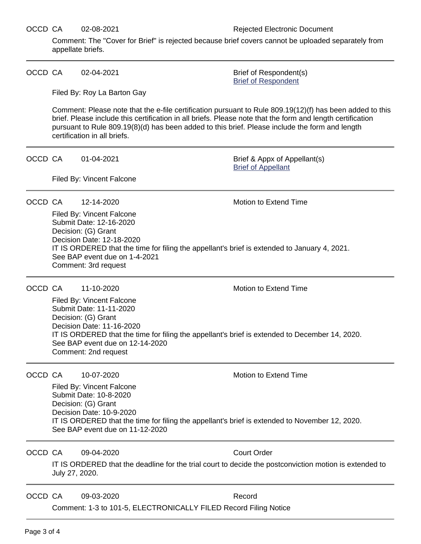Comment: The "Cover for Brief" is rejected because brief covers cannot be uploaded separately from appellate briefs.

OCCD CA  $02-04-2021$  Brief of Respondent(s)

[Brief of Respondent](https://acefiling.wicourts.gov/document/eFiled/2020AP001406/334139)

Filed By: Roy La Barton Gay

Filed By: Vincent Falcone

Comment: Please note that the e-file certification pursuant to Rule 809.19(12)(f) has been added to this brief. Please include this certification in all briefs. Please note that the form and length certification pursuant to Rule 809.19(8)(d) has been added to this brief. Please include the form and length certification in all briefs.

OCCD CA 01-04-2021 Brief & Appx of Appellant(s)

[Brief of Appellant](https://acefiling.wicourts.gov/document/eFiled/2020AP001406/321920)

OCCD CA 12-14-2020 Motion to Extend Time

Filed By: Vincent Falcone Submit Date: 12-16-2020 Decision: (G) Grant Decision Date: 12-18-2020 IT IS ORDERED that the time for filing the appellant's brief is extended to January 4, 2021. See BAP event due on 1-4-2021 Comment: 3rd request

OCCD CA 11-10-2020 Motion to Extend Time

Filed By: Vincent Falcone Submit Date: 11-11-2020 Decision: (G) Grant Decision Date: 11-16-2020 IT IS ORDERED that the time for filing the appellant's brief is extended to December 14, 2020. See BAP event due on 12-14-2020 Comment: 2nd request

OCCD CA 10-07-2020 Motion to Extend Time

Filed By: Vincent Falcone Submit Date: 10-8-2020 Decision: (G) Grant Decision Date: 10-9-2020 IT IS ORDERED that the time for filing the appellant's brief is extended to November 12, 2020. See BAP event due on 11-12-2020

OCCD CA 09-04-2020 Court Order

IT IS ORDERED that the deadline for the trial court to decide the postconviction motion is extended to July 27, 2020.

OCCD CA 09-03-2020 Record

Comment: 1-3 to 101-5, ELECTRONICALLY FILED Record Filing Notice